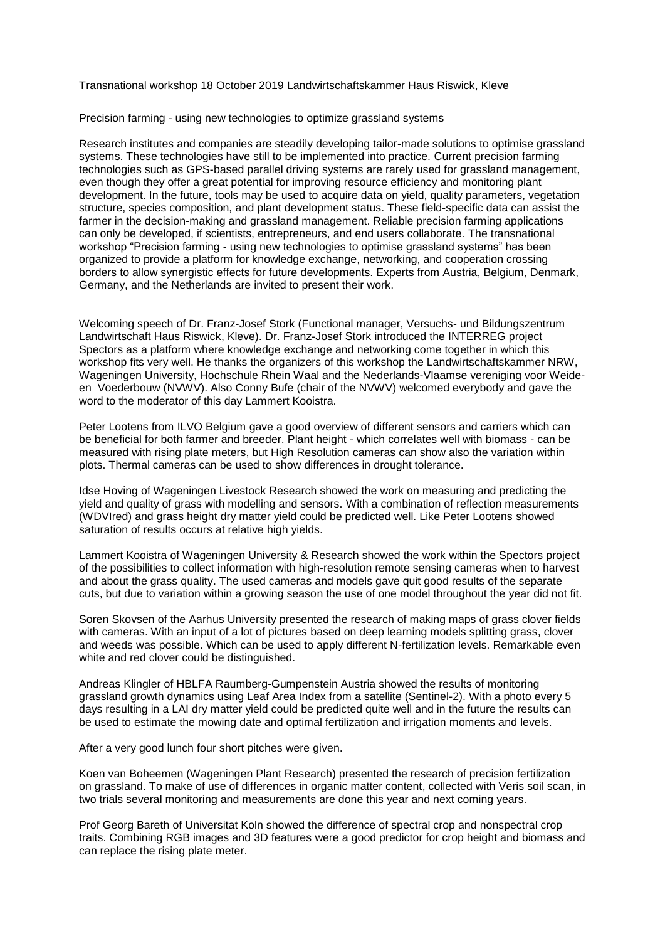Transnational workshop 18 October 2019 Landwirtschaftskammer Haus Riswick, Kleve

Precision farming - using new technologies to optimize grassland systems

Research institutes and companies are steadily developing tailor-made solutions to optimise grassland systems. These technologies have still to be implemented into practice. Current precision farming technologies such as GPS-based parallel driving systems are rarely used for grassland management, even though they offer a great potential for improving resource efficiency and monitoring plant development. In the future, tools may be used to acquire data on yield, quality parameters, vegetation structure, species composition, and plant development status. These field-specific data can assist the farmer in the decision-making and grassland management. Reliable precision farming applications can only be developed, if scientists, entrepreneurs, and end users collaborate. The transnational workshop "Precision farming - using new technologies to optimise grassland systems" has been organized to provide a platform for knowledge exchange, networking, and cooperation crossing borders to allow synergistic effects for future developments. Experts from Austria, Belgium, Denmark, Germany, and the Netherlands are invited to present their work.

Welcoming speech of Dr. Franz-Josef Stork (Functional manager, Versuchs- und Bildungszentrum Landwirtschaft Haus Riswick, Kleve). Dr. Franz-Josef Stork introduced the INTERREG project Spectors as a platform where knowledge exchange and networking come together in which this workshop fits very well. He thanks the organizers of this workshop the Landwirtschaftskammer NRW, Wageningen University, Hochschule Rhein Waal and the Nederlands-Vlaamse vereniging voor Weideen Voederbouw (NVWV). Also Conny Bufe (chair of the NVWV) welcomed everybody and gave the word to the moderator of this day Lammert Kooistra.

Peter Lootens from ILVO Belgium gave a good overview of different sensors and carriers which can be beneficial for both farmer and breeder. Plant height - which correlates well with biomass - can be measured with rising plate meters, but High Resolution cameras can show also the variation within plots. Thermal cameras can be used to show differences in drought tolerance.

Idse Hoving of Wageningen Livestock Research showed the work on measuring and predicting the yield and quality of grass with modelling and sensors. With a combination of reflection measurements (WDVIred) and grass height dry matter yield could be predicted well. Like Peter Lootens showed saturation of results occurs at relative high yields.

Lammert Kooistra of Wageningen University & Research showed the work within the Spectors project of the possibilities to collect information with high-resolution remote sensing cameras when to harvest and about the grass quality. The used cameras and models gave quit good results of the separate cuts, but due to variation within a growing season the use of one model throughout the year did not fit.

Soren Skovsen of the Aarhus University presented the research of making maps of grass clover fields with cameras. With an input of a lot of pictures based on deep learning models splitting grass, clover and weeds was possible. Which can be used to apply different N-fertilization levels. Remarkable even white and red clover could be distinguished.

Andreas Klingler of HBLFA Raumberg-Gumpenstein Austria showed the results of monitoring grassland growth dynamics using Leaf Area Index from a satellite (Sentinel-2). With a photo every 5 days resulting in a LAI dry matter yield could be predicted quite well and in the future the results can be used to estimate the mowing date and optimal fertilization and irrigation moments and levels.

After a very good lunch four short pitches were given.

Koen van Boheemen (Wageningen Plant Research) presented the research of precision fertilization on grassland. To make of use of differences in organic matter content, collected with Veris soil scan, in two trials several monitoring and measurements are done this year and next coming years.

Prof Georg Bareth of Universitat Koln showed the difference of spectral crop and nonspectral crop traits. Combining RGB images and 3D features were a good predictor for crop height and biomass and can replace the rising plate meter.